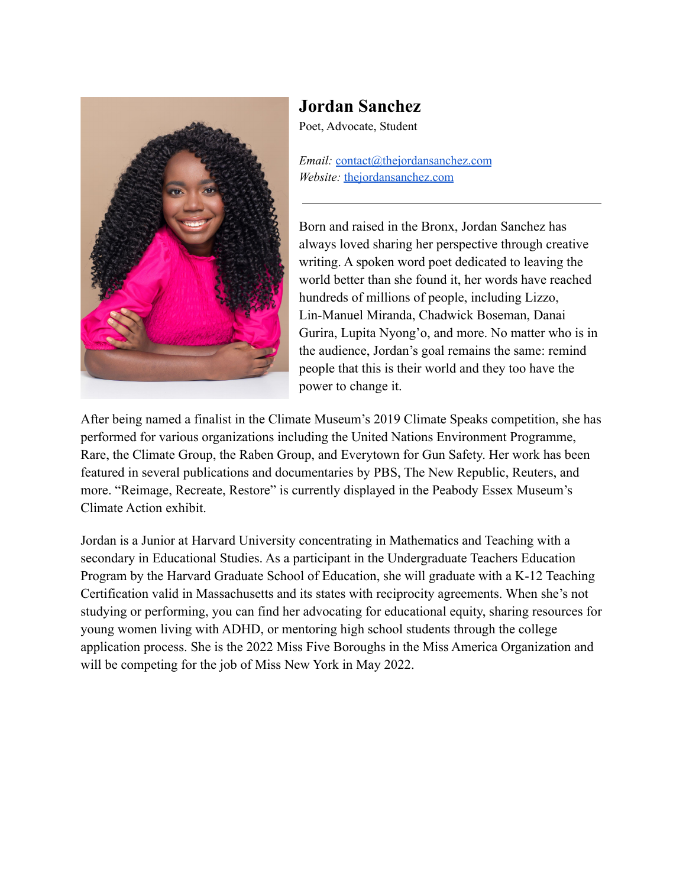

## **Jordan Sanchez**

Poet, Advocate, Student

*Email:* [contact@thejordansanchez.com](mailto:contact@thejordansanchez.com) *Website:* [thejordansanchez.com](http://thejordansanchez.com)

Born and raised in the Bronx, Jordan Sanchez has always loved sharing her perspective through creative writing. A spoken word poet dedicated to leaving the world better than she found it, her words have reached hundreds of millions of people, including Lizzo, Lin-Manuel Miranda, Chadwick Boseman, Danai Gurira, Lupita Nyong'o, and more. No matter who is in the audience, Jordan's goal remains the same: remind people that this is their world and they too have the power to change it.

After being named a finalist in the Climate Museum's 2019 Climate Speaks competition, she has performed for various organizations including the United Nations Environment Programme, Rare, the Climate Group, the Raben Group, and Everytown for Gun Safety. Her work has been featured in several publications and documentaries by PBS, The New Republic, Reuters, and more. "Reimage, Recreate, Restore" is currently displayed in the Peabody Essex Museum's Climate Action exhibit.

Jordan is a Junior at Harvard University concentrating in Mathematics and Teaching with a secondary in Educational Studies. As a participant in the Undergraduate Teachers Education Program by the Harvard Graduate School of Education, she will graduate with a K-12 Teaching Certification valid in Massachusetts and its states with reciprocity agreements. When she's not studying or performing, you can find her advocating for educational equity, sharing resources for young women living with ADHD, or mentoring high school students through the college application process. She is the 2022 Miss Five Boroughs in the Miss America Organization and will be competing for the job of Miss New York in May 2022.